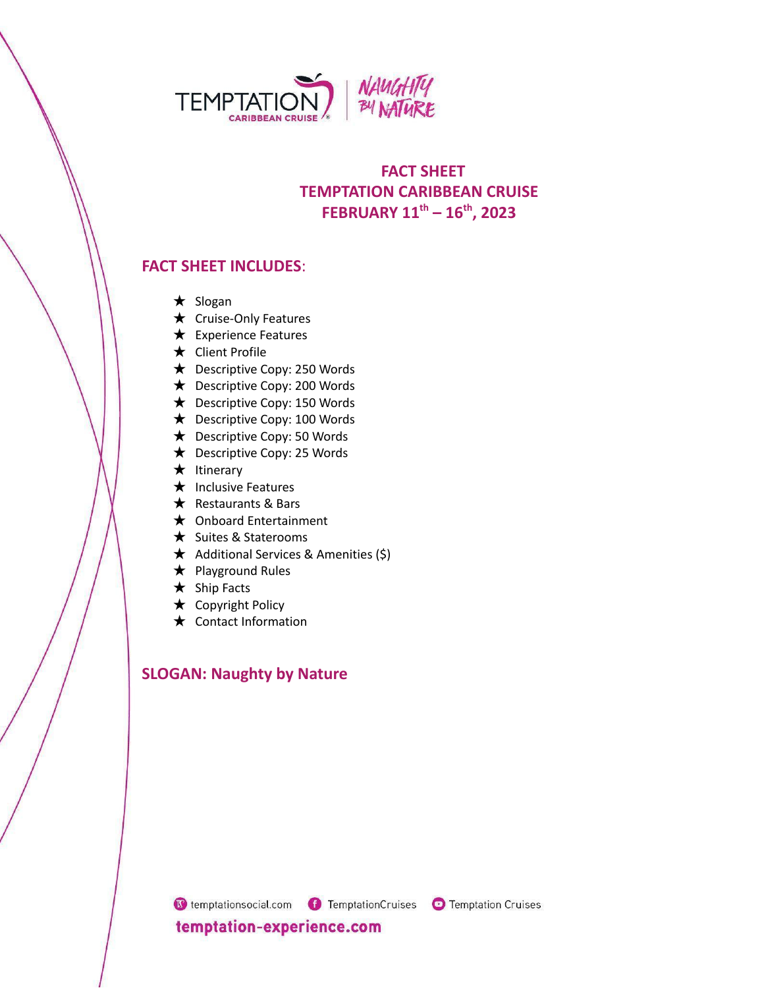

# **FACT SHEET TEMPTATION CARIBBEAN CRUISE FEBRUARY 11 th – 16 th , 2023**

# **FACT SHEET INCLUDES**:

- ★ Slogan
- ★ Cruise-Only Features
- ★ Experience Features
- ★ Client Profile
- ★ Descriptive Copy: 250 Words
- ★ Descriptive Copy: 200 Words
- ★ Descriptive Copy: 150 Words
- ★ Descriptive Copy: 100 Words
- ★ Descriptive Copy: 50 Words
- ★ Descriptive Copy: 25 Words
- ★ Itinerary
- ★ Inclusive Features
- ★ Restaurants & Bars
- ★ Onboard Entertainment
- ★ Suites & Staterooms
- ★ Additional Services & Amenities (\$)
- ★ Playground Rules
- ★ Ship Facts
- ★ Copyright Policy
- ★ Contact Information

# **SLOGAN: Naughty by Nature**

C temptationsocial.com C TemptationCruises C Temptation Cruises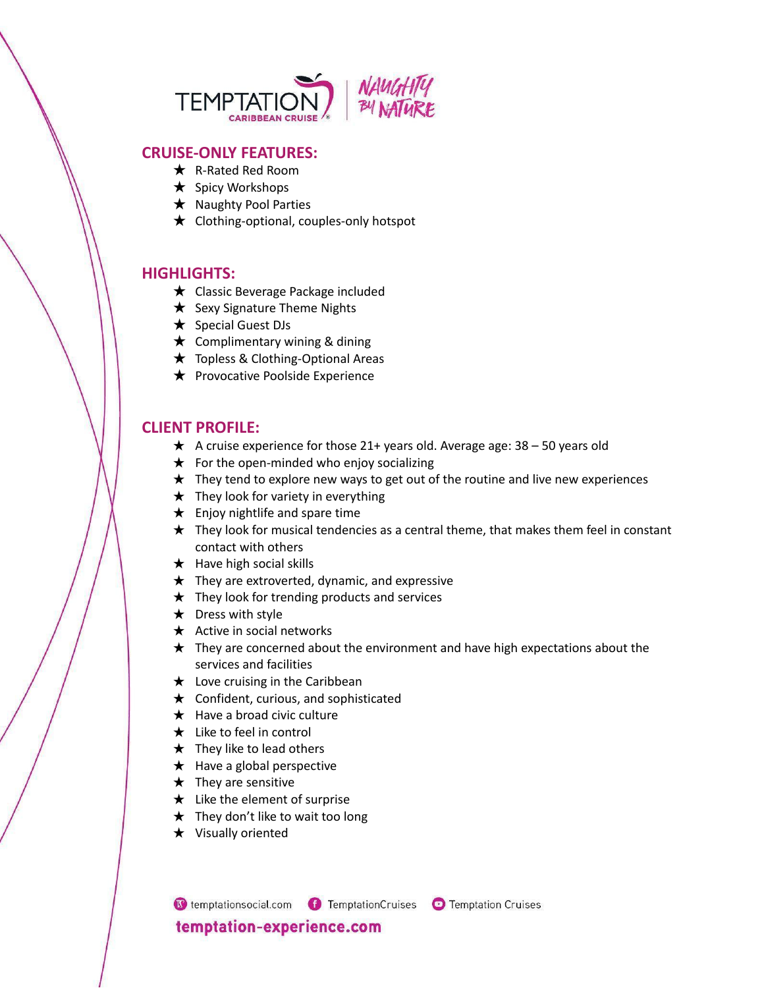

## **CRUISE-ONLY FEATURES:**

- ★ R-Rated Red Room
- ★ Spicy Workshops
- **★** Naughty Pool Parties
- ★ Clothing-optional, couples-only hotspot

### **HIGHLIGHTS:**

- ★ Classic Beverage Package included
- **★** Sexy Signature Theme Nights
- ★ Special Guest DJs
- $\star$  Complimentary wining & dining
- ★ Topless & Clothing-Optional Areas
- **★** Provocative Poolside Experience

## **CLIENT PROFILE:**

- $\star$  A cruise experience for those 21+ years old. Average age: 38 50 years old
- $\star$  For the open-minded who enjoy socializing
- $\star$  They tend to explore new ways to get out of the routine and live new experiences
- $\star$  They look for variety in everything
- $\star$  Enjoy nightlife and spare time
- $\star$  They look for musical tendencies as a central theme, that makes them feel in constant contact with others
- $\star$  Have high social skills
- $\star$  They are extroverted, dynamic, and expressive
- $\star$  They look for trending products and services
- $\star$  Dress with style
- $\star$  Active in social networks
- $\star$  They are concerned about the environment and have high expectations about the services and facilities
- $\star$  Love cruising in the Caribbean
- $\star$  Confident, curious, and sophisticated
- $\star$  Have a broad civic culture
- $\star$  Like to feel in control
- $\star$  They like to lead others
- $\star$  Have a global perspective
- $\star$  They are sensitive
- $\star$  Like the element of surprise
- $\star$  They don't like to wait too long
- ★ Visually oriented

G temptationsocial.com G TemptationCruises G Temptation Cruises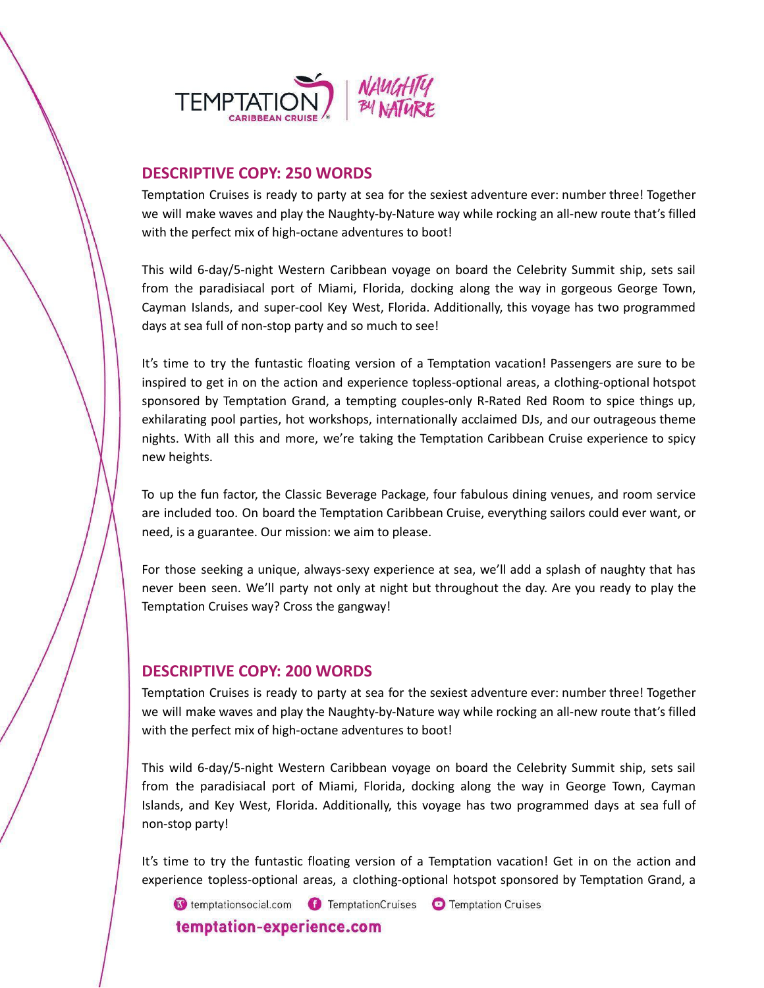

## **DESCRIPTIVE COPY: 250 WORDS**

Temptation Cruises is ready to party at sea for the sexiest adventure ever: number three! Together we will make waves and play the Naughty-by-Nature way while rocking an all-new route that's filled with the perfect mix of high-octane adventures to boot!

This wild 6-day/5-night Western Caribbean voyage on board the Celebrity Summit ship, sets sail from the paradisiacal port of Miami, Florida, docking along the way in gorgeous George Town, Cayman Islands, and super-cool Key West, Florida. Additionally, this voyage has two programmed days at sea full of non-stop party and so much to see!

It's time to try the funtastic floating version of a Temptation vacation! Passengers are sure to be inspired to get in on the action and experience topless-optional areas, a clothing-optional hotspot sponsored by Temptation Grand, a tempting couples-only R-Rated Red Room to spice things up, exhilarating pool parties, hot workshops, internationally acclaimed DJs, and our outrageous theme nights. With all this and more, we're taking the Temptation Caribbean Cruise experience to spicy new heights.

To up the fun factor, the Classic Beverage Package, four fabulous dining venues, and room service are included too. On board the Temptation Caribbean Cruise, everything sailors could ever want, or need, is a guarantee. Our mission: we aim to please.

For those seeking a unique, always-sexy experience at sea, we'll add a splash of naughty that has never been seen. We'll party not only at night but throughout the day. Are you ready to play the Temptation Cruises way? Cross the gangway!

## **DESCRIPTIVE COPY: 200 WORDS**

Temptation Cruises is ready to party at sea for the sexiest adventure ever: number three! Together we will make waves and play the Naughty-by-Nature way while rocking an all-new route that's filled with the perfect mix of high-octane adventures to boot!

This wild 6-day/5-night Western Caribbean voyage on board the Celebrity Summit ship, sets sail from the paradisiacal port of Miami, Florida, docking along the way in George Town, Cayman Islands, and Key West, Florida. Additionally, this voyage has two programmed days at sea full of non-stop party!

It's time to try the funtastic floating version of a Temptation vacation! Get in on the action and experience topless-optional areas, a clothing-optional hotspot sponsored by Temptation Grand, a

C temptationsocial.com C TemptationCruises C Temptation Cruises temptation-experience.com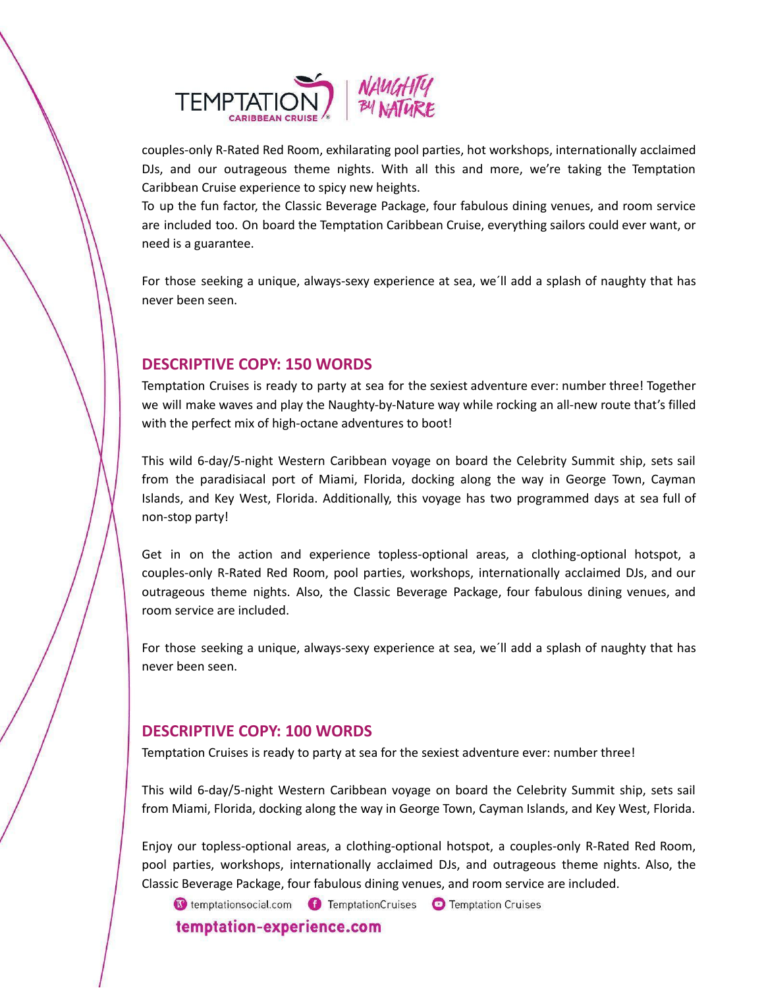

couples-only R-Rated Red Room, exhilarating pool parties, hot workshops, internationally acclaimed DJs, and our outrageous theme nights. With all this and more, we're taking the Temptation Caribbean Cruise experience to spicy new heights.

To up the fun factor, the Classic Beverage Package, four fabulous dining venues, and room service are included too. On board the Temptation Caribbean Cruise, everything sailors could ever want, or need is a guarantee.

For those seeking a unique, always-sexy experience at sea, we´ll add a splash of naughty that has never been seen.

## **DESCRIPTIVE COPY: 150 WORDS**

Temptation Cruises is ready to party at sea for the sexiest adventure ever: number three! Together we will make waves and play the Naughty-by-Nature way while rocking an all-new route that's filled with the perfect mix of high-octane adventures to boot!

This wild 6-day/5-night Western Caribbean voyage on board the Celebrity Summit ship, sets sail from the paradisiacal port of Miami, Florida, docking along the way in George Town, Cayman Islands, and Key West, Florida. Additionally, this voyage has two programmed days at sea full of non-stop party!

Get in on the action and experience topless-optional areas, a clothing-optional hotspot, a couples-only R-Rated Red Room, pool parties, workshops, internationally acclaimed DJs, and our outrageous theme nights. Also, the Classic Beverage Package, four fabulous dining venues, and room service are included.

For those seeking a unique, always-sexy experience at sea, we´ll add a splash of naughty that has never been seen.

## **DESCRIPTIVE COPY: 100 WORDS**

Temptation Cruises is ready to party at sea for the sexiest adventure ever: number three!

This wild 6-day/5-night Western Caribbean voyage on board the Celebrity Summit ship, sets sail from Miami, Florida, docking along the way in George Town, Cayman Islands, and Key West, Florida.

Enjoy our topless-optional areas, a clothing-optional hotspot, a couples-only R-Rated Red Room, pool parties, workshops, internationally acclaimed DJs, and outrageous theme nights. Also, the Classic Beverage Package, four fabulous dining venues, and room service are included.

C temptationsocial.com C TemptationCruises C Temptation Cruises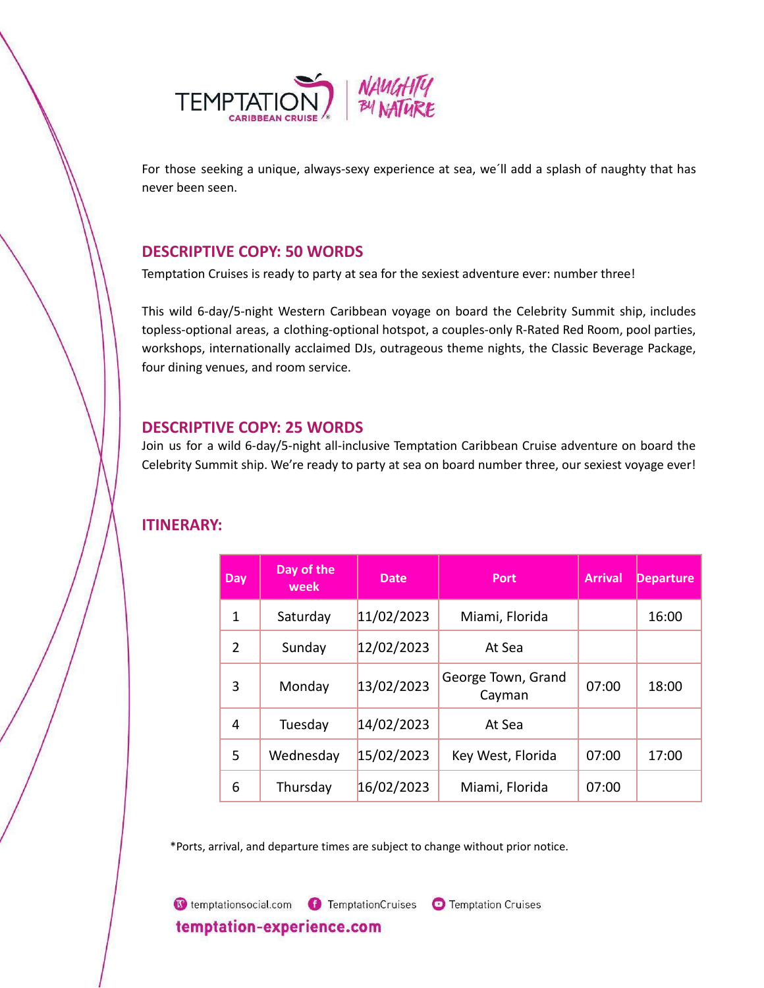

For those seeking a unique, always-sexy experience at sea, we´ll add a splash of naughty that has never been seen.

## **DESCRIPTIVE COPY: 50 WORDS**

Temptation Cruises is ready to party at sea for the sexiest adventure ever: number three!

This wild 6-day/5-night Western Caribbean voyage on board the Celebrity Summit ship, includes topless-optional areas, a clothing-optional hotspot, a couples-only R-Rated Red Room, pool parties, workshops, internationally acclaimed DJs, outrageous theme nights, the Classic Beverage Package, four dining venues, and room service.

## **DESCRIPTIVE COPY: 25 WORDS**

Join us for a wild 6-day/5-night all-inclusive Temptation Caribbean Cruise adventure on board the Celebrity Summit ship. We're ready to party at sea on board number three, our sexiest voyage ever!

| Day            | Day of the<br>week | Date       | <b>Port</b>                  | <b>Arrival</b> | <b>Departure</b> |
|----------------|--------------------|------------|------------------------------|----------------|------------------|
| 1              | Saturday           | 11/02/2023 | Miami, Florida               |                | 16:00            |
| $\mathfrak{D}$ | Sunday             | 12/02/2023 | At Sea                       |                |                  |
| 3              | Monday             | 13/02/2023 | George Town, Grand<br>Cayman | 07:00          | 18:00            |
| 4              | Tuesday            | 14/02/2023 | At Sea                       |                |                  |
| 5              | Wednesday          | 15/02/2023 | Key West, Florida            | 07:00          | 17:00            |
| 6              | Thursday           | 16/02/2023 | Miami, Florida               | 07:00          |                  |

# **ITINERARY:**

\*Ports, arrival, and departure times are subject to change without prior notice.

C temptationsocial.com C TemptationCruises C Temptation Cruises temptation-experience.com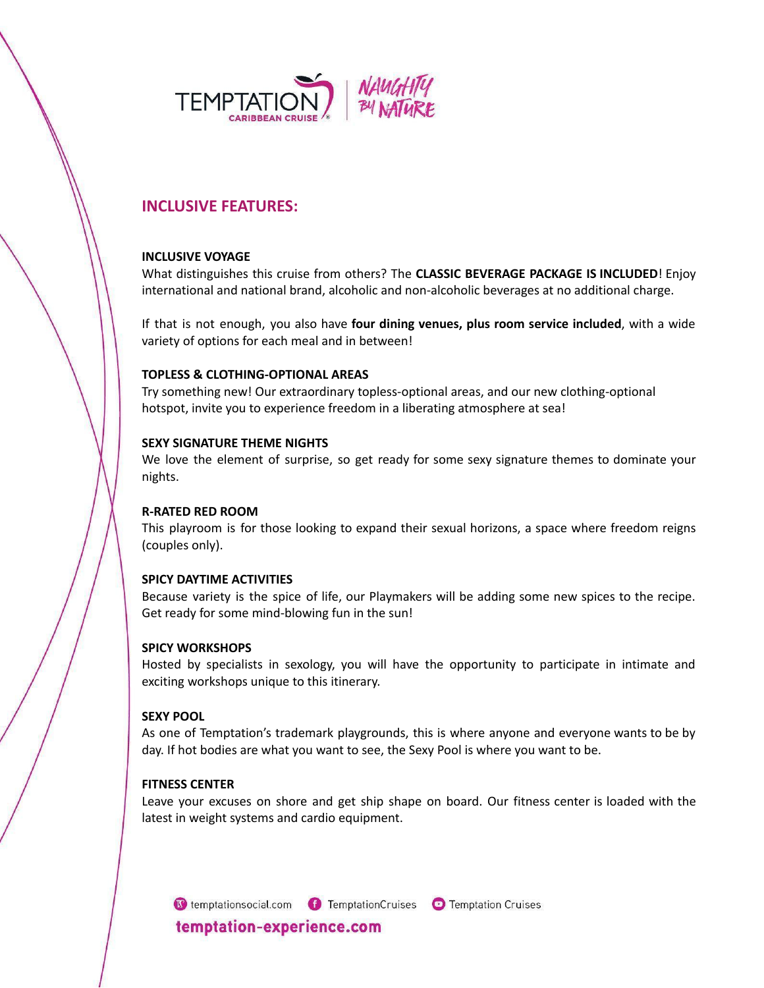

# **INCLUSIVE FEATURES:**

### **INCLUSIVE VOYAGE**

What distinguishes this cruise from others? The **CLASSIC BEVERAGE PACKAGE IS INCLUDED**! Enjoy international and national brand, alcoholic and non-alcoholic beverages at no additional charge.

If that is not enough, you also have **four dining venues, plus room service included**, with a wide variety of options for each meal and in between!

### **TOPLESS & CLOTHING-OPTIONAL AREAS**

Try something new! Our extraordinary topless-optional areas, and our new clothing-optional hotspot, invite you to experience freedom in a liberating atmosphere at sea!

### **SEXY SIGNATURE THEME NIGHTS**

We love the element of surprise, so get ready for some sexy signature themes to dominate your nights.

## **R-RATED RED ROOM**

This playroom is for those looking to expand their sexual horizons, a space where freedom reigns (couples only).

## **SPICY DAYTIME ACTIVITIES**

Because variety is the spice of life, our Playmakers will be adding some new spices to the recipe. Get ready for some mind-blowing fun in the sun!

## **SPICY WORKSHOPS**

Hosted by specialists in sexology, you will have the opportunity to participate in intimate and exciting workshops unique to this itinerary.

## **SEXY POOL**

As one of Temptation's trademark playgrounds, this is where anyone and everyone wants to be by day. If hot bodies are what you want to see, the Sexy Pool is where you want to be.

### **FITNESS CENTER**

Leave your excuses on shore and get ship shape on board. Our fitness center is loaded with the latest in weight systems and cardio equipment.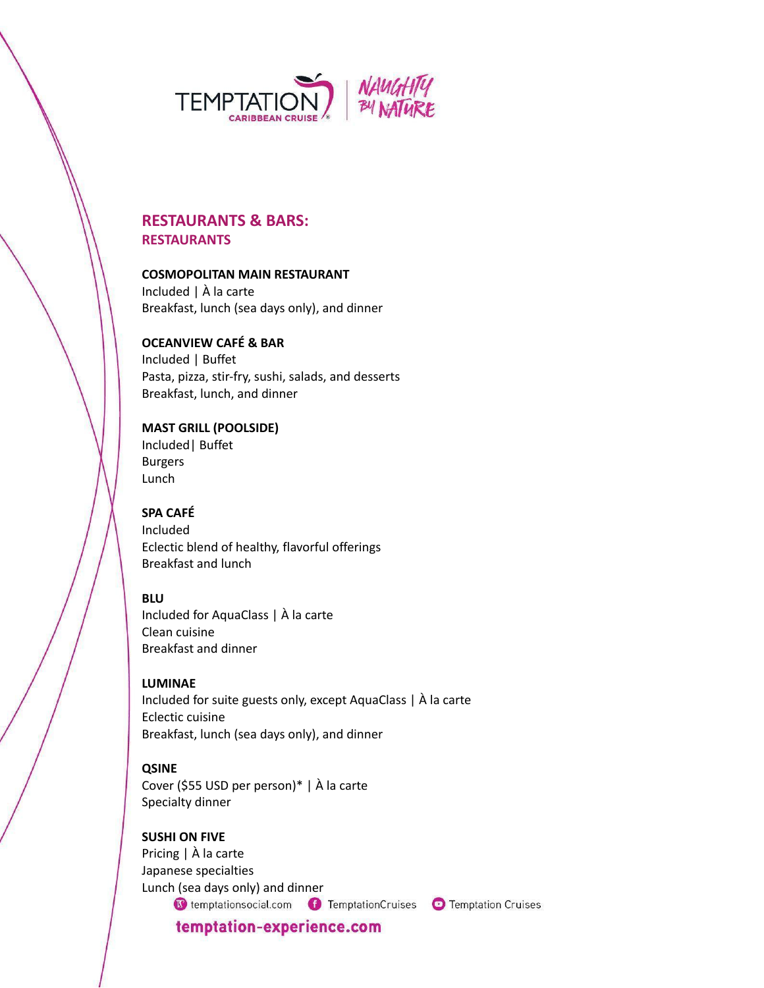

# **RESTAURANTS & BARS: RESTAURANTS**

### **COSMOPOLITAN MAIN RESTAURANT**

Included | À la carte Breakfast, lunch (sea days only), and dinner

## **OCEANVIEW CAFÉ & BAR**

Included | Buffet Pasta, pizza, stir-fry, sushi, salads, and desserts Breakfast, lunch, and dinner

### **MAST GRILL (POOLSIDE)** Included| Buffet

Burgers Lunch

## **SPA CAFÉ** Included Eclectic blend of healthy, flavorful offerings Breakfast and lunch

## **BLU**

Included for AquaClass | À la carte Clean cuisine Breakfast and dinner

## **LUMINAE**

Included for suite guests only, except AquaClass | À la carte Eclectic cuisine Breakfast, lunch (sea days only), and dinner

## **QSINE**

Cover (\$55 USD per person)\* | À la carte Specialty dinner

## **SUSHI ON FIVE**

Pricing | À la carte Japanese specialties Lunch (sea days only) and dinner

C temptationsocial.com C TemptationCruises C Temptation Cruises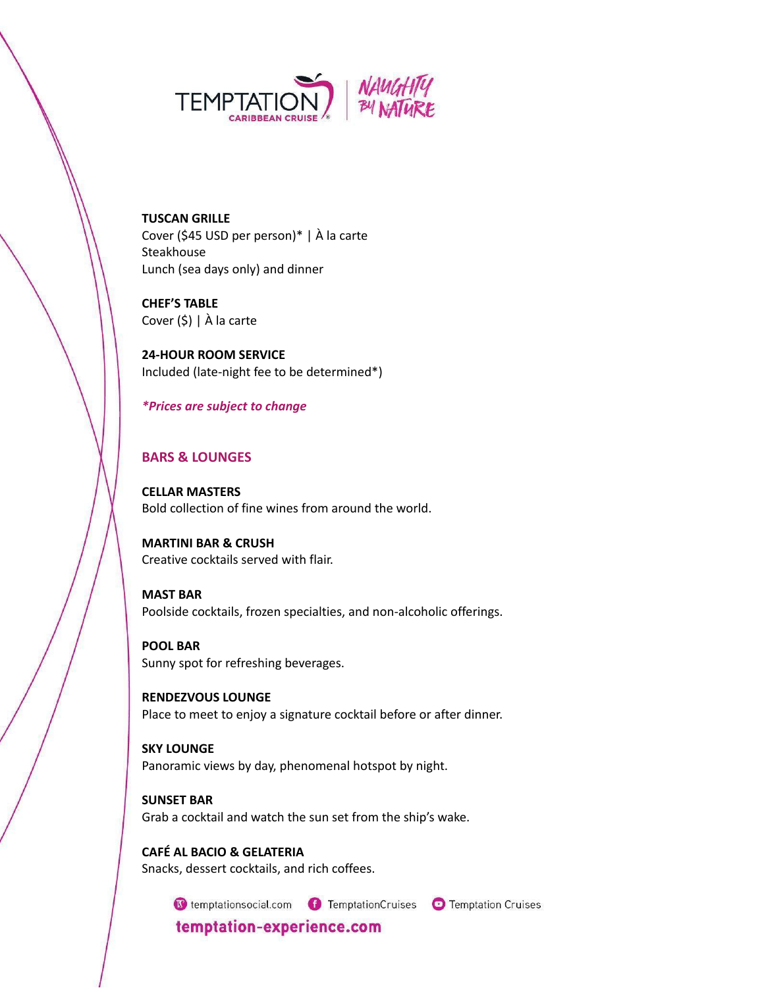

**TUSCAN GRILLE** Cover (\$45 USD per person)\* | À la carte **Steakhouse** Lunch (sea days only) and dinner

**CHEF'S TABLE** Cover (\$) | À la carte

**24-HOUR ROOM SERVICE** Included (late-night fee to be determined\*)

## *\*Prices are subject to change*

## **BARS & LOUNGES**

**CELLAR MASTERS** Bold collection of fine wines from around the world.

**MARTINI BAR & CRUSH** Creative cocktails served with flair.

**MAST BAR** Poolside cocktails, frozen specialties, and non-alcoholic offerings.

**POOL BAR** Sunny spot for refreshing beverages.

**RENDEZVOUS LOUNGE** Place to meet to enjoy a signature cocktail before or after dinner.

**SKY LOUNGE** Panoramic views by day, phenomenal hotspot by night.

**SUNSET BAR** Grab a cocktail and watch the sun set from the ship's wake.

**CAFÉ AL BACIO & GELATERIA** Snacks, dessert cocktails, and rich coffees.

G temptationsocial.com G TemptationCruises G Temptation Cruises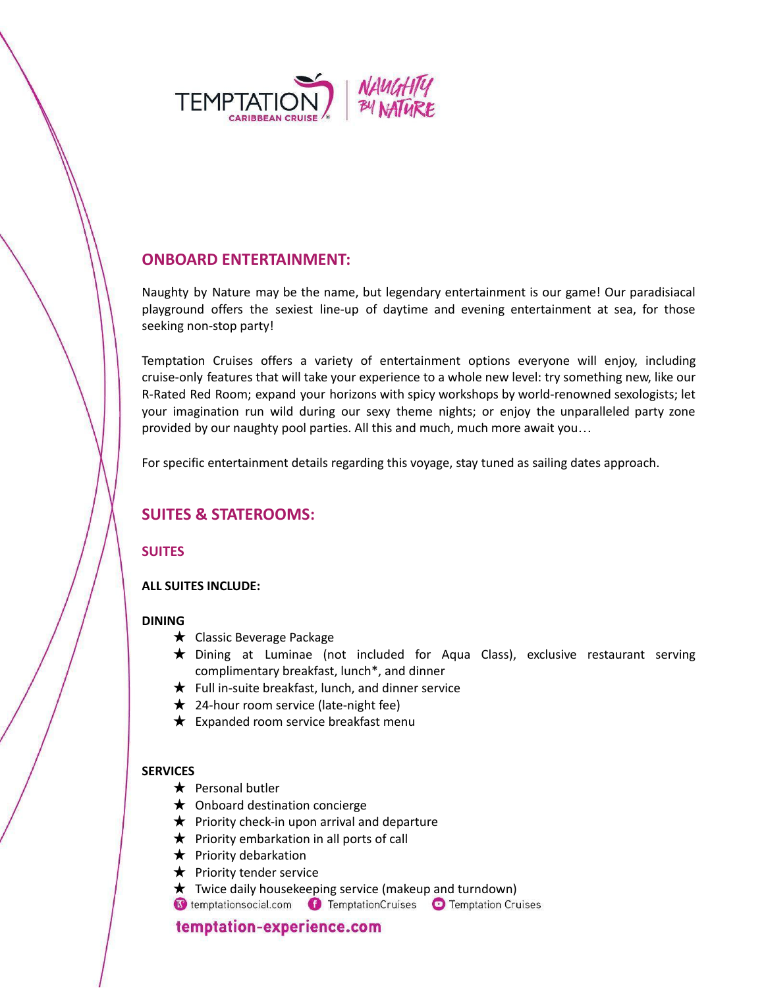

# **ONBOARD ENTERTAINMENT:**

Naughty by Nature may be the name, but legendary entertainment is our game! Our paradisiacal playground offers the sexiest line-up of daytime and evening entertainment at sea, for those seeking non-stop party!

Temptation Cruises offers a variety of entertainment options everyone will enjoy, including cruise-only features that will take your experience to a whole new level: try something new, like our R-Rated Red Room; expand your horizons with spicy workshops by world-renowned sexologists; let your imagination run wild during our sexy theme nights; or enjoy the unparalleled party zone provided by our naughty pool parties. All this and much, much more await you…

For specific entertainment details regarding this voyage, stay tuned as sailing dates approach.

# **SUITES & STATEROOMS:**

## **SUITES**

### **ALL SUITES INCLUDE:**

### **DINING**

- ★ Classic Beverage Package
- ★ Dining at Luminae (not included for Aqua Class), exclusive restaurant serving complimentary breakfast, lunch\*, and dinner
- $\bigstar$  Full in-suite breakfast, lunch, and dinner service
- $\star$  24-hour room service (late-night fee)
- $\bigstar$  Expanded room service breakfast menu

### **SERVICES**

- $\star$  Personal butler
- $\bigstar$  Onboard destination concierge
- $\bigstar$  Priority check-in upon arrival and departure
- $\bigstar$  Priority embarkation in all ports of call
- $\bigstar$  Priority debarkation
- $\bigstar$  Priority tender service
- **★** Twice daily housekeeping service (makeup and turndown)<br> **③** temptationsocial.com TemptationCruises Temptation Cruises
-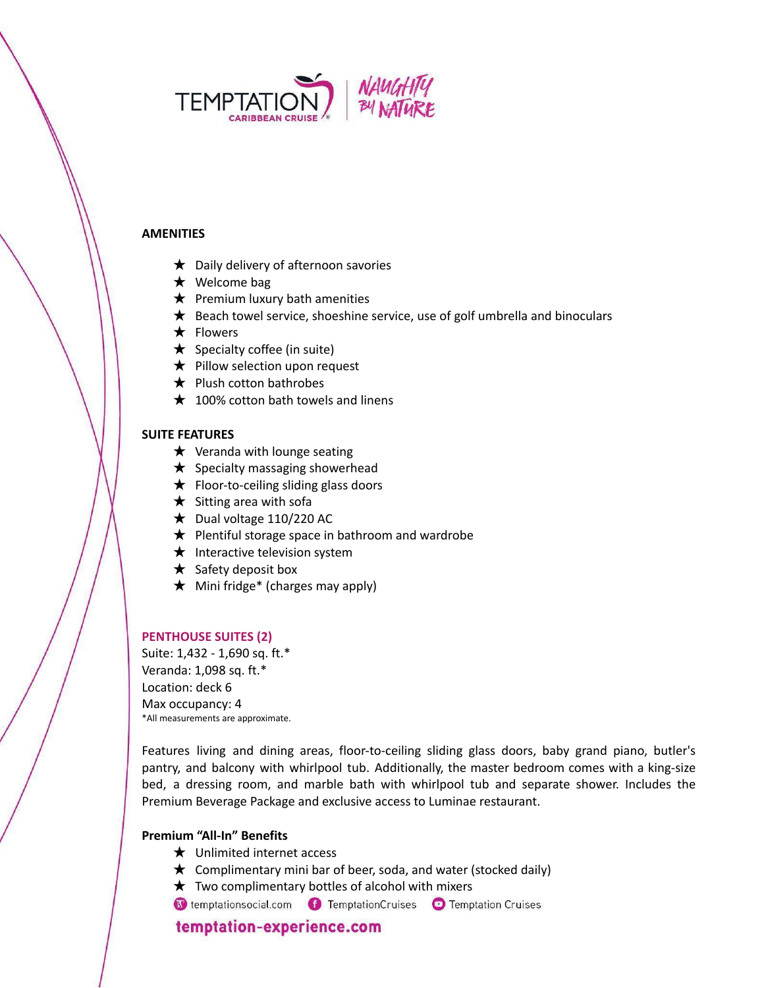

#### **AMENITIES**

- $\bigstar$  Daily delivery of afternoon savories
- ★ Welcome bag
- $\bigstar$  Premium luxury bath amenities
- $\bigstar$  Beach towel service, shoeshine service, use of golf umbrella and binoculars
- ★ Flowers
- $\bigstar$  Specialty coffee (in suite)
- $\bigstar$  Pillow selection upon request
- $\bigstar$  Plush cotton bathrobes
- $\star$  100% cotton bath towels and linens

#### **SUITE FEATURES**

- $\star$  Veranda with lounge seating
- $\bigstar$  Specialty massaging showerhead
- $\bigstar$  Floor-to-ceiling sliding glass doors
- $\star$  Sitting area with sofa
- $\bigstar$  Dual voltage 110/220 AC
- $\bigstar$  Plentiful storage space in bathroom and wardrobe
- $\star$  Interactive television system
- $\star$  Safety deposit box
- $\star$  Mini fridge\* (charges may apply)

#### **PENTHOUSE SUITES (2)**

Suite: 1,432 - 1,690 sq. ft.\* Veranda: 1,098 sq. ft.\* Location: deck 6 Max occupancy: 4 \*All measurements are approximate.

Features living and dining areas, floor-to-ceiling sliding glass doors, baby grand piano, butler's pantry, and balcony with whirlpool tub. Additionally, the master bedroom comes with a king-size bed, a dressing room, and marble bath with whirlpool tub and separate shower. Includes the Premium Beverage Package and exclusive access to Luminae restaurant.

### **Premium "All-In" Benefits**

- ★ Unlimited internet access
- $\star$  Complimentary mini bar of beer, soda, and water (stocked daily)
- $\star$  Two complimentary bottles of alcohol with mixers
- C temptationsocial.com **C** TemptationCruises **C** Temptation Cruises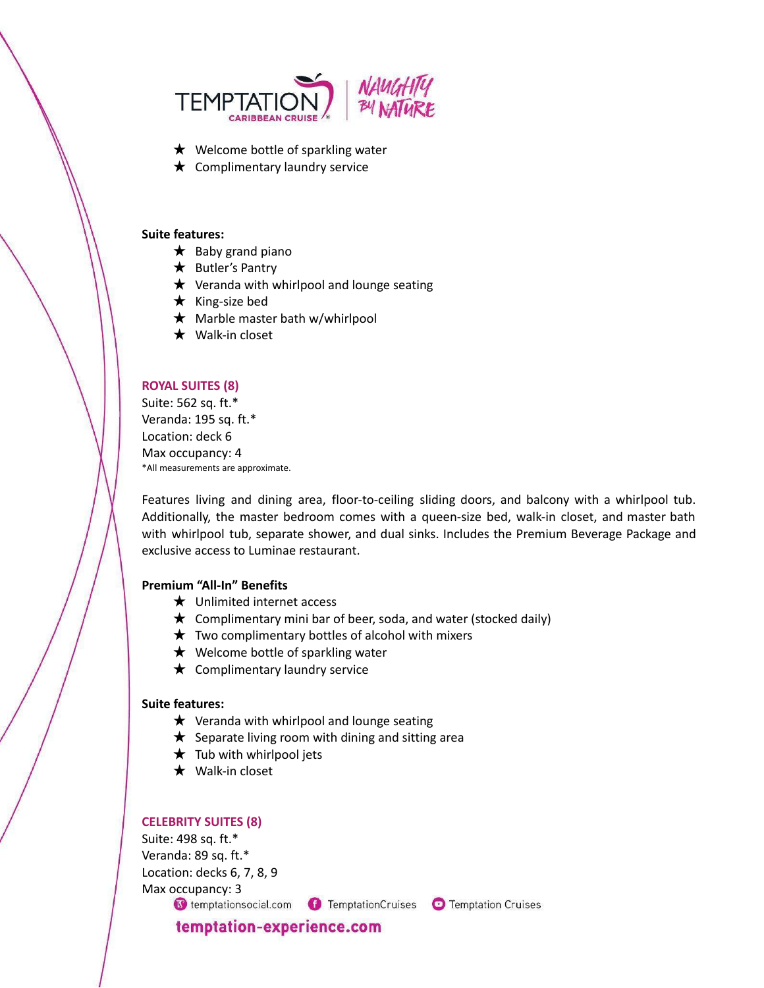

- ★ Welcome bottle of sparkling water
- $\bigstar$  Complimentary laundry service

#### **Suite features:**

- $\star$  Baby grand piano
- ★ Butler's Pantry
- $\star$  Veranda with whirlpool and lounge seating
- ★ King-size bed
- $\star$  Marble master bath w/whirlpool
- $\star$  Walk-in closet

#### **ROYAL SUITES (8)**

Suite: 562 sq. ft.\* Veranda: 195 sq. ft.\* Location: deck 6 Max occupancy: 4 \*All measurements are approximate.

Features living and dining area, floor-to-ceiling sliding doors, and balcony with a whirlpool tub. Additionally, the master bedroom comes with a queen-size bed, walk-in closet, and master bath with whirlpool tub, separate shower, and dual sinks. Includes the Premium Beverage Package and exclusive access to Luminae restaurant.

### **Premium "All-In" Benefits**

- ★ Unlimited internet access
- $\star$  Complimentary mini bar of beer, soda, and water (stocked daily)
- $\star$  Two complimentary bottles of alcohol with mixers
- $\star$  Welcome bottle of sparkling water
- $\bigstar$  Complimentary laundry service

#### **Suite features:**

- $\star$  Veranda with whirlpool and lounge seating
- $\star$  Separate living room with dining and sitting area
- $\star$  Tub with whirlpool jets
- $\star$  Walk-in closet

#### **CELEBRITY SUITES (8)**

Suite: 498 sq. ft.\* Veranda: 89 sq. ft.\* Location: decks 6, 7, 8, 9 Max occupancy: 3

C temptationsocial.com C TemptationCruises C Temptation Cruises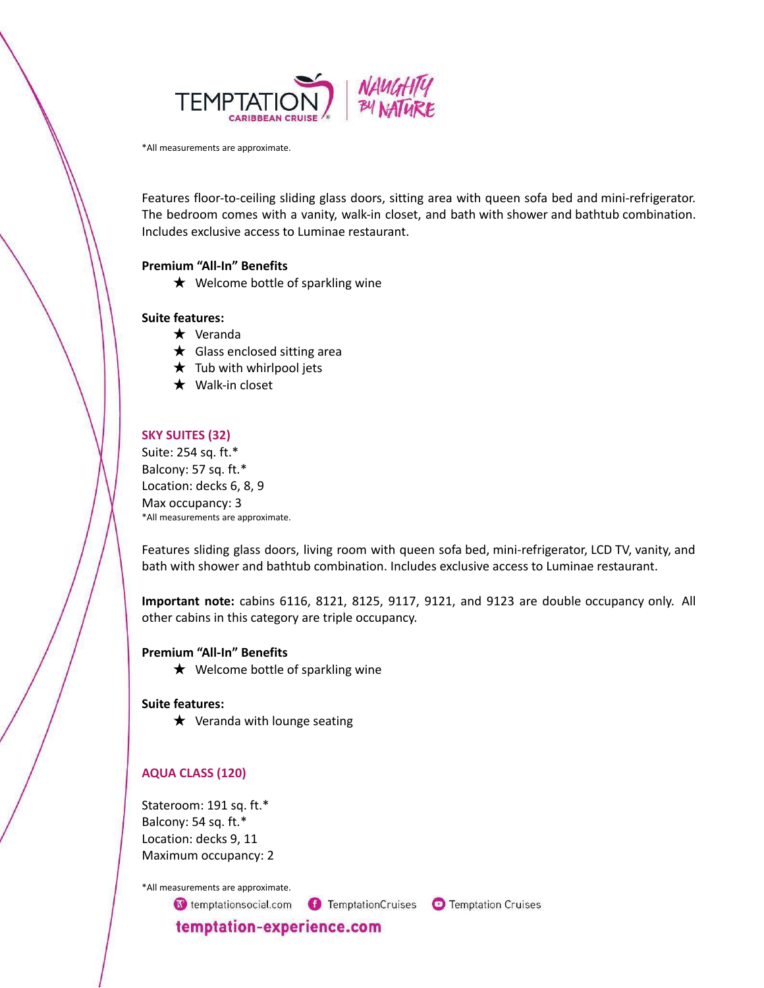

\*All measurements are approximate.

Features floor-to-ceiling sliding glass doors, sitting area with queen sofa bed and mini-refrigerator. The bedroom comes with a vanity, walk-in closet, and bath with shower and bathtub combination. Includes exclusive access to Luminae restaurant.

### **Premium "All-In" Benefits**

 $\bigstar$  Welcome bottle of sparkling wine

#### **Suite features:**

- ★ Veranda
- $\star$  Glass enclosed sitting area
- $\star$  Tub with whirlpool jets
- ★ Walk-in closet

#### **SKY SUITES (32)**

Suite: 254 sq. ft.\* Balcony: 57 sq. ft.\* Location: decks 6, 8, 9 Max occupancy: 3 \*All measurements are approximate.

Features sliding glass doors, living room with queen sofa bed, mini-refrigerator, LCD TV, vanity, and bath with shower and bathtub combination. Includes exclusive access to Luminae restaurant.

**Important note:** cabins 6116, 8121, 8125, 9117, 9121, and 9123 are double occupancy only. All other cabins in this category are triple occupancy.

#### **Premium "All-In" Benefits**

 $\star$  Welcome bottle of sparkling wine

#### **Suite features:**

 $\star$  Veranda with lounge seating

#### **AQUA CLASS (120)**

Stateroom: 191 sq. ft.\* Balcony: 54 sq. ft.\* Location: decks 9, 11 Maximum occupancy: 2

\*All measurements are approximate.

C temptationsocial.com C TemptationCruises C Temptation Cruises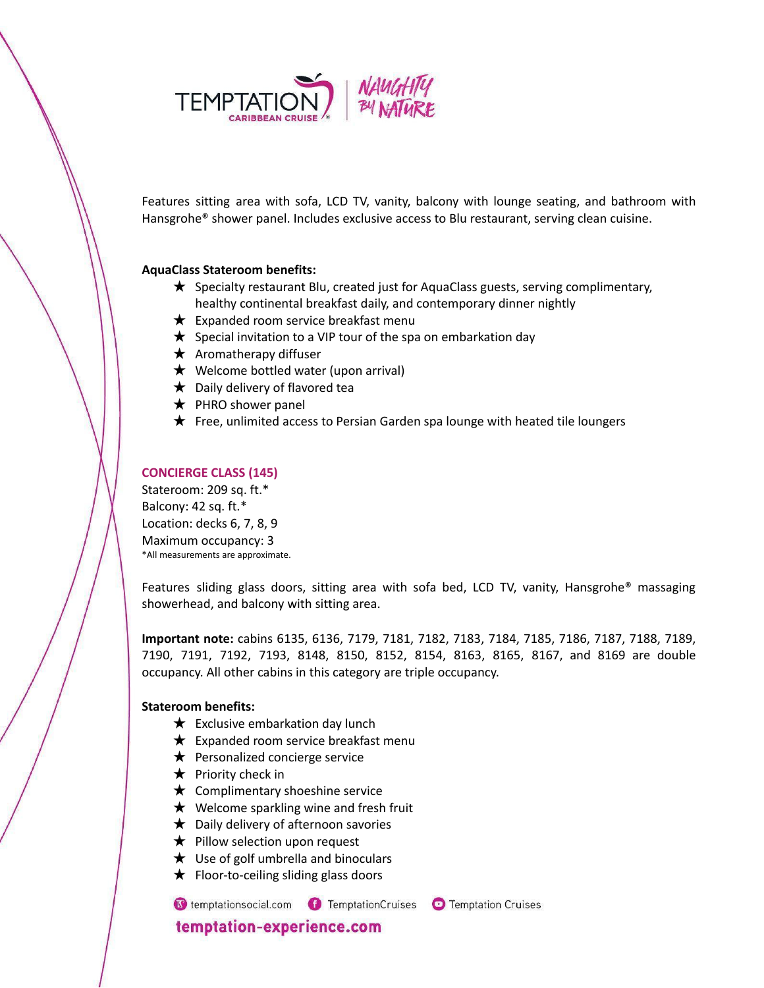

Features sitting area with sofa, LCD TV, vanity, balcony with lounge seating, and bathroom with Hansgrohe® shower panel. Includes exclusive access to Blu restaurant, serving clean cuisine.

### **AquaClass Stateroom benefits:**

- ★ Specialty restaurant Blu, created just for AquaClass guests, serving complimentary, healthy continental breakfast daily, and contemporary dinner nightly
- $\bigstar$  Expanded room service breakfast menu
- $\bigstar$  Special invitation to a VIP tour of the spa on embarkation day
- $\star$  Aromatherapy diffuser
- $\bigstar$  Welcome bottled water (upon arrival)
- $\bigstar$  Daily delivery of flavored tea
- $\bigstar$  PHRO shower panel
- ★ Free, unlimited access to Persian Garden spa lounge with heated tile loungers

### **CONCIERGE CLASS (145)**

Stateroom: 209 sq. ft.\* Balcony: 42 sq. ft.\* Location: decks 6, 7, 8, 9 Maximum occupancy: 3 \*All measurements are approximate.

Features sliding glass doors, sitting area with sofa bed, LCD TV, vanity, Hansgrohe® massaging showerhead, and balcony with sitting area.

**Important note:** cabins 6135, 6136, 7179, 7181, 7182, 7183, 7184, 7185, 7186, 7187, 7188, 7189, 7190, 7191, 7192, 7193, 8148, 8150, 8152, 8154, 8163, 8165, 8167, and 8169 are double occupancy. All other cabins in this category are triple occupancy.

#### **Stateroom benefits:**

- $\bigstar$  Exclusive embarkation day lunch
- $\bigstar$  Expanded room service breakfast menu
- $\bigstar$  Personalized concierge service
- $\star$  Priority check in
- $\star$  Complimentary shoeshine service
- $\star$  Welcome sparkling wine and fresh fruit
- $\bigstar$  Daily delivery of afternoon savories
- ★ Pillow selection upon request
- $\star$  Use of golf umbrella and binoculars
- ★ Floor-to-ceiling sliding glass doors

C temptationsocial.com C TemptationCruises C Temptation Cruises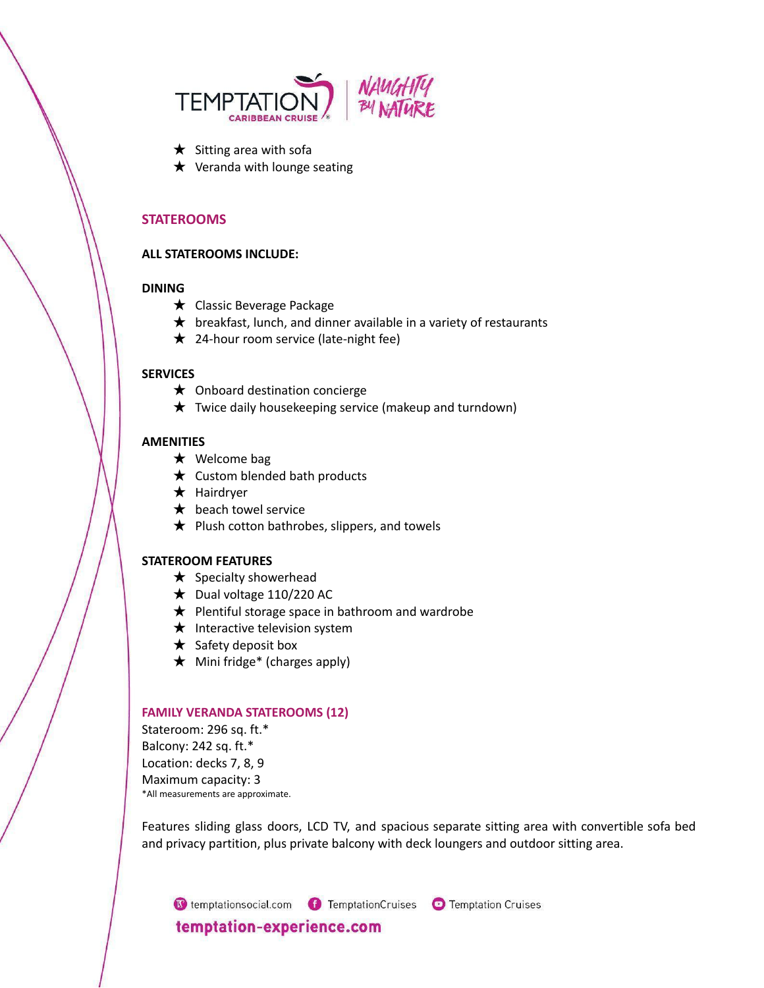

- $\star$  Sitting area with sofa
- $\star$  Veranda with lounge seating

### **STATEROOMS**

#### **ALL STATEROOMS INCLUDE:**

### **DINING**

- ★ Classic Beverage Package
- $\star$  breakfast, lunch, and dinner available in a variety of restaurants
- ★ 24-hour room service (late-night fee)

### **SERVICES**

- ★ Onboard destination concierge
- $\star$  Twice daily housekeeping service (makeup and turndown)

#### **AMENITIES**

- ★ Welcome bag
- $\star$  Custom blended bath products
- ★ Hairdryer
- **★** beach towel service
- $\bigstar$  Plush cotton bathrobes, slippers, and towels

#### **STATEROOM FEATURES**

- $\star$  Specialty showerhead
- $\bigstar$  Dual voltage 110/220 AC
- $\bigstar$  Plentiful storage space in bathroom and wardrobe
- $\star$  Interactive television system
- $\star$  Safety deposit box
- $\star$  Mini fridge\* (charges apply)

#### **FAMILY VERANDA STATEROOMS (12)**

Stateroom: 296 sq. ft.\* Balcony: 242 sq. ft.\* Location: decks 7, 8, 9 Maximum capacity: 3 \*All measurements are approximate.

Features sliding glass doors, LCD TV, and spacious separate sitting area with convertible sofa bed and privacy partition, plus private balcony with deck loungers and outdoor sitting area.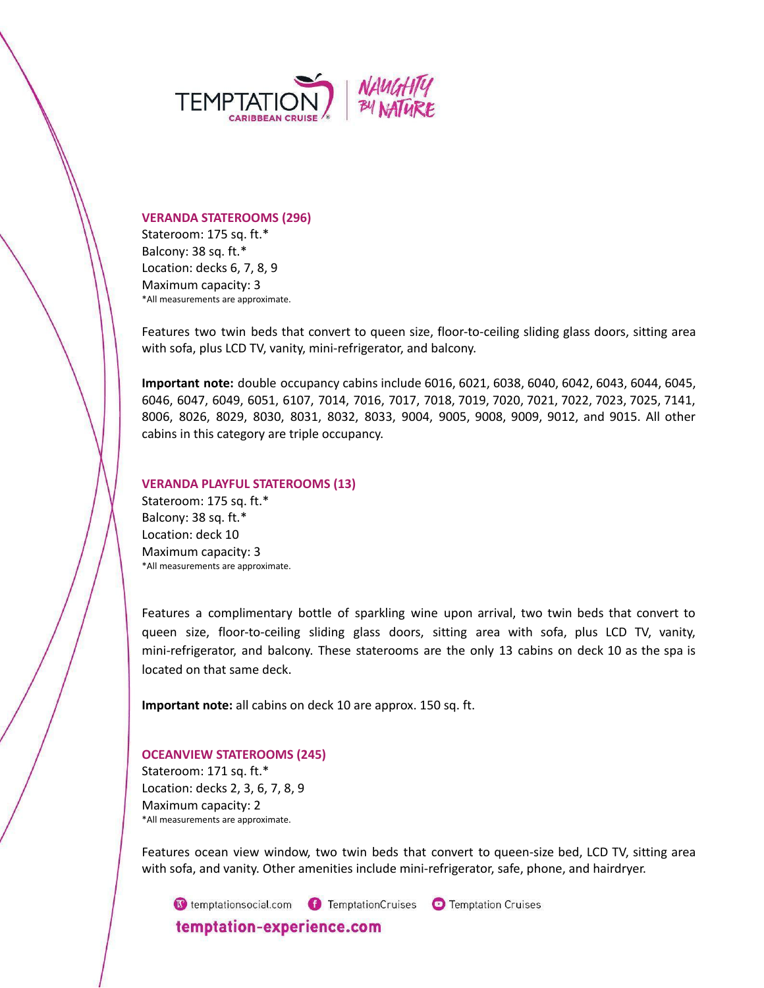

#### **VERANDA STATEROOMS (296)**

Stateroom: 175 sq. ft.\* Balcony: 38 sq. ft.\* Location: decks 6, 7, 8, 9 Maximum capacity: 3 \*All measurements are approximate.

Features two twin beds that convert to queen size, floor-to-ceiling sliding glass doors, sitting area with sofa, plus LCD TV, vanity, mini-refrigerator, and balcony.

**Important note:** double occupancy cabins include 6016, 6021, 6038, 6040, 6042, 6043, 6044, 6045, 6046, 6047, 6049, 6051, 6107, 7014, 7016, 7017, 7018, 7019, 7020, 7021, 7022, 7023, 7025, 7141, 8006, 8026, 8029, 8030, 8031, 8032, 8033, 9004, 9005, 9008, 9009, 9012, and 9015. All other cabins in this category are triple occupancy.

#### **VERANDA PLAYFUL STATEROOMS (13)**

Stateroom: 175 sq. ft.\* Balcony: 38 sq. ft.\* Location: deck 10 Maximum capacity: 3 \*All measurements are approximate.

Features a complimentary bottle of sparkling wine upon arrival, two twin beds that convert to queen size, floor-to-ceiling sliding glass doors, sitting area with sofa, plus LCD TV, vanity, mini-refrigerator, and balcony. These staterooms are the only 13 cabins on deck 10 as the spa is located on that same deck.

**Important note:** all cabins on deck 10 are approx. 150 sq. ft.

#### **OCEANVIEW STATEROOMS (245)**

Stateroom: 171 sq. ft.\* Location: decks 2, 3, 6, 7, 8, 9 Maximum capacity: 2 \*All measurements are approximate.

Features ocean view window, two twin beds that convert to queen-size bed, LCD TV, sitting area with sofa, and vanity. Other amenities include mini-refrigerator, safe, phone, and hairdryer.

C temptationsocial.com C TemptationCruises C Temptation Cruises temptation-experience.com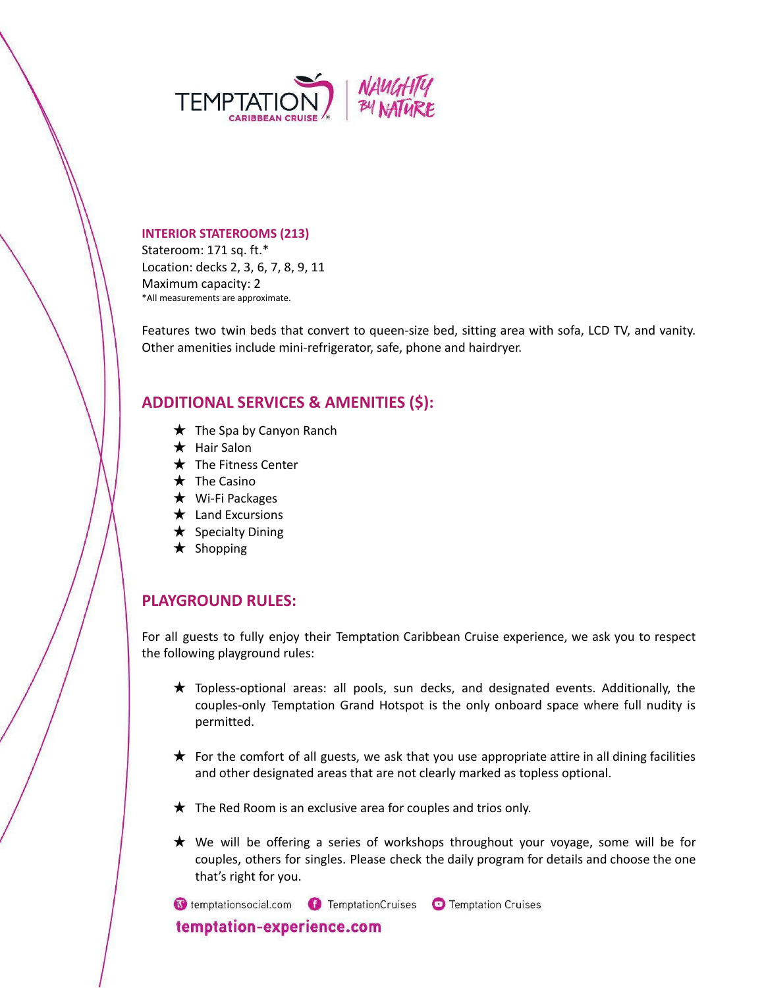

#### **INTERIOR STATEROOMS (213)**

Stateroom: 171 sq. ft.\* Location: decks 2, 3, 6, 7, 8, 9, 11 Maximum capacity: 2 \*All measurements are approximate.

Features two twin beds that convert to queen-size bed, sitting area with sofa, LCD TV, and vanity. Other amenities include mini-refrigerator, safe, phone and hairdryer.

# **ADDITIONAL SERVICES & AMENITIES (\$):**

- $\bigstar$  The Spa by Canyon Ranch
- ★ Hair Salon
- ★ The Fitness Center
- ★ The Casino
- ★ Wi-Fi Packages
- ★ Land Excursions
- $\star$  Specialty Dining
- ★ Shopping

# **PLAYGROUND RULES:**

For all guests to fully enjoy their Temptation Caribbean Cruise experience, we ask you to respect the following playground rules:

- ★ Topless-optional areas: all pools, sun decks, and designated events. Additionally, the couples-only Temptation Grand Hotspot is the only onboard space where full nudity is permitted.
- $\star$  For the comfort of all guests, we ask that you use appropriate attire in all dining facilities and other designated areas that are not clearly marked as topless optional.
- $\star$  The Red Room is an exclusive area for couples and trios only.
- ★ We will be offering a series of workshops throughout your voyage, some will be for couples, others for singles. Please check the daily program for details and choose the one that's right for you.

C temptationsocial.com C TemptationCruises C Temptation Cruises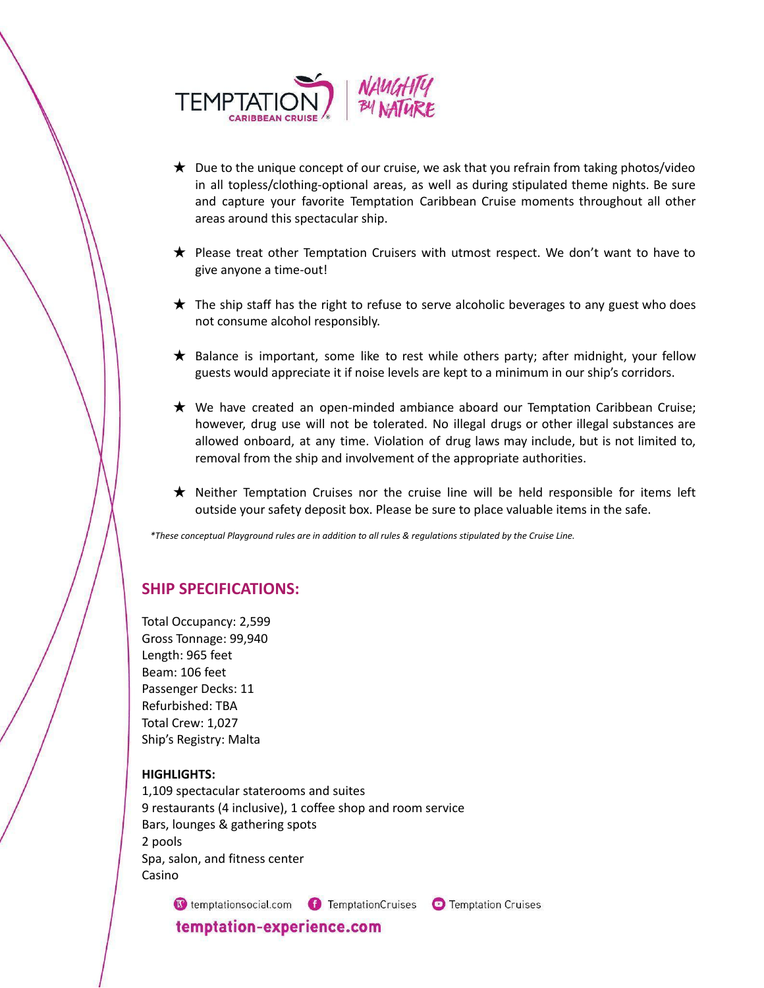

- $\star$  Due to the unique concept of our cruise, we ask that you refrain from taking photos/video in all topless/clothing-optional areas, as well as during stipulated theme nights. Be sure and capture your favorite Temptation Caribbean Cruise moments throughout all other areas around this spectacular ship.
- ★ Please treat other Temptation Cruisers with utmost respect. We don't want to have to give anyone a time-out!
- $\star$  The ship staff has the right to refuse to serve alcoholic beverages to any guest who does not consume alcohol responsibly.
- ★ Balance is important, some like to rest while others party; after midnight, your fellow guests would appreciate it if noise levels are kept to a minimum in our ship's corridors.
- ★ We have created an open-minded ambiance aboard our Temptation Caribbean Cruise; however, drug use will not be tolerated. No illegal drugs or other illegal substances are allowed onboard, at any time. Violation of drug laws may include, but is not limited to, removal from the ship and involvement of the appropriate authorities.
- ★ Neither Temptation Cruises nor the cruise line will be held responsible for items left outside your safety deposit box. Please be sure to place valuable items in the safe.

\*These conceptual Playground rules are in addition to all rules & regulations stipulated by the Cruise Line.

# **SHIP SPECIFICATIONS:**

Total Occupancy: 2,599 Gross Tonnage: 99,940 Length: 965 feet Beam: 106 feet Passenger Decks: 11 Refurbished: TBA Total Crew: 1,027 Ship's Registry: Malta

#### **HIGHLIGHTS:**

1,109 spectacular staterooms and suites 9 restaurants (4 inclusive), 1 coffee shop and room service Bars, lounges & gathering spots 2 pools Spa, salon, and fitness center Casino

C temptationsocial.com C TemptationCruises C Temptation Cruises